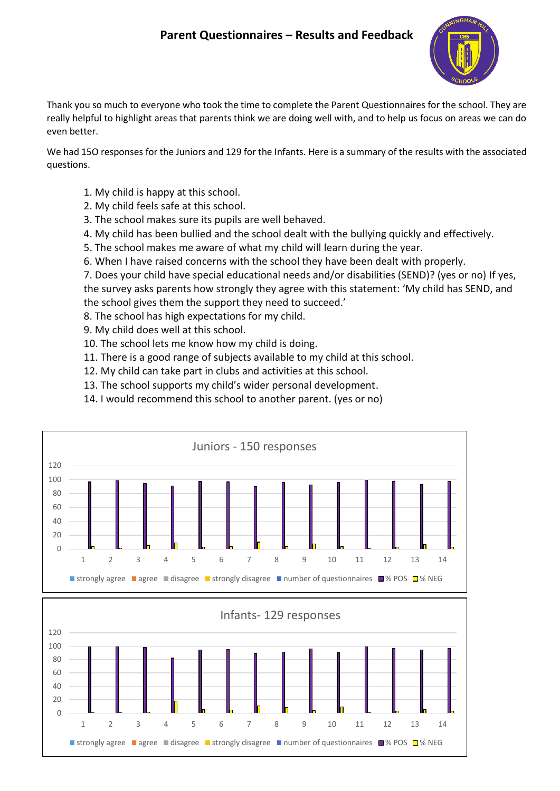# **Parent Questionnaires – Results and Feedback**



Thank you so much to everyone who took the time to complete the Parent Questionnaires for the school. They are really helpful to highlight areas that parents think we are doing well with, and to help us focus on areas we can do even better.

We had 15O responses for the Juniors and 129 for the Infants. Here is a summary of the results with the associated questions.

- 1. My child is happy at this school.
- 2. My child feels safe at this school.
- 3. The school makes sure its pupils are well behaved.
- 4. My child has been bullied and the school dealt with the bullying quickly and effectively.
- 5. The school makes me aware of what my child will learn during the year.
- 6. When I have raised concerns with the school they have been dealt with properly.

7. Does your child have special educational needs and/or disabilities (SEND)? (yes or no) If yes, the survey asks parents how strongly they agree with this statement: 'My child has SEND, and the school gives them the support they need to succeed.'

- 8. The school has high expectations for my child.
- 9. My child does well at this school.
- 10. The school lets me know how my child is doing.
- 11. There is a good range of subjects available to my child at this school.
- 12. My child can take part in clubs and activities at this school.
- 13. The school supports my child's wider personal development.
- 14. I would recommend this school to another parent. (yes or no)



1 2 3 4 5 6 7 8 9 10 11 12 13 14

**strongly agree a** agree disagree strongly disagree number of questionnaires  $\blacksquare$ % POS  $\blacksquare$ % NEG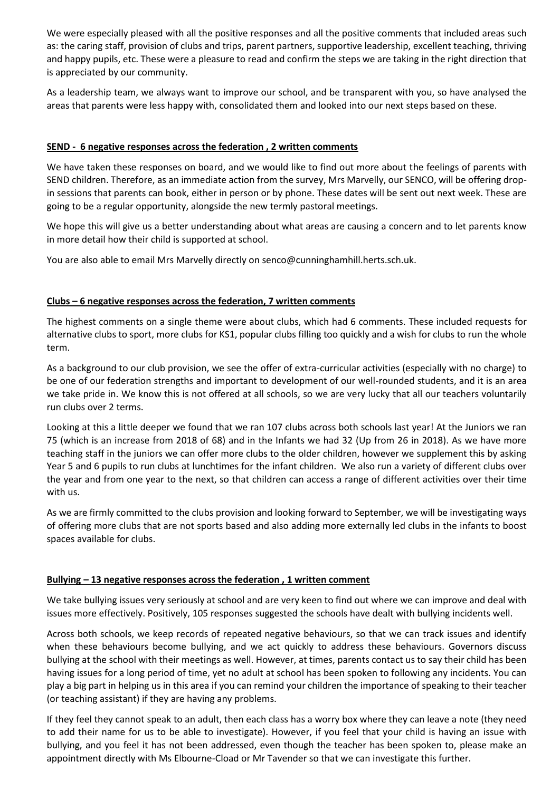We were especially pleased with all the positive responses and all the positive comments that included areas such as: the caring staff, provision of clubs and trips, parent partners, supportive leadership, excellent teaching, thriving and happy pupils, etc. These were a pleasure to read and confirm the steps we are taking in the right direction that is appreciated by our community.

As a leadership team, we always want to improve our school, and be transparent with you, so have analysed the areas that parents were less happy with, consolidated them and looked into our next steps based on these.

# **SEND - 6 negative responses across the federation , 2 written comments**

We have taken these responses on board, and we would like to find out more about the feelings of parents with SEND children. Therefore, as an immediate action from the survey, Mrs Marvelly, our SENCO, will be offering dropin sessions that parents can book, either in person or by phone. These dates will be sent out next week. These are going to be a regular opportunity, alongside the new termly pastoral meetings.

We hope this will give us a better understanding about what areas are causing a concern and to let parents know in more detail how their child is supported at school.

You are also able to email Mrs Marvelly directly on senco@cunninghamhill.herts.sch.uk.

### **Clubs – 6 negative responses across the federation, 7 written comments**

The highest comments on a single theme were about clubs, which had 6 comments. These included requests for alternative clubs to sport, more clubs for KS1, popular clubs filling too quickly and a wish for clubs to run the whole term.

As a background to our club provision, we see the offer of extra-curricular activities (especially with no charge) to be one of our federation strengths and important to development of our well-rounded students, and it is an area we take pride in. We know this is not offered at all schools, so we are very lucky that all our teachers voluntarily run clubs over 2 terms.

Looking at this a little deeper we found that we ran 107 clubs across both schools last year! At the Juniors we ran 75 (which is an increase from 2018 of 68) and in the Infants we had 32 (Up from 26 in 2018). As we have more teaching staff in the juniors we can offer more clubs to the older children, however we supplement this by asking Year 5 and 6 pupils to run clubs at lunchtimes for the infant children. We also run a variety of different clubs over the year and from one year to the next, so that children can access a range of different activities over their time with us.

As we are firmly committed to the clubs provision and looking forward to September, we will be investigating ways of offering more clubs that are not sports based and also adding more externally led clubs in the infants to boost spaces available for clubs.

#### **Bullying – 13 negative responses across the federation , 1 written comment**

We take bullying issues very seriously at school and are very keen to find out where we can improve and deal with issues more effectively. Positively, 105 responses suggested the schools have dealt with bullying incidents well.

Across both schools, we keep records of repeated negative behaviours, so that we can track issues and identify when these behaviours become bullying, and we act quickly to address these behaviours. Governors discuss bullying at the school with their meetings as well. However, at times, parents contact us to say their child has been having issues for a long period of time, yet no adult at school has been spoken to following any incidents. You can play a big part in helping us in this area if you can remind your children the importance of speaking to their teacher (or teaching assistant) if they are having any problems.

If they feel they cannot speak to an adult, then each class has a worry box where they can leave a note (they need to add their name for us to be able to investigate). However, if you feel that your child is having an issue with bullying, and you feel it has not been addressed, even though the teacher has been spoken to, please make an appointment directly with Ms Elbourne-Cload or Mr Tavender so that we can investigate this further.